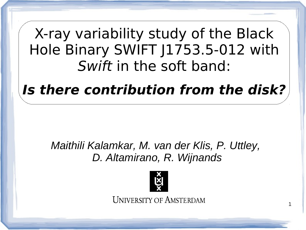# X-ray variability study of the Black Hole Binary SWIFT J1753.5-012 with Swift in the soft band:

# **Is there contribution from the disk?**

# *Maithili Kalamkar, M. van der Klis, P. Uttley, D. Altamirano, R. Wijnands*



**UNIVERSITY OF AMSTERDAM**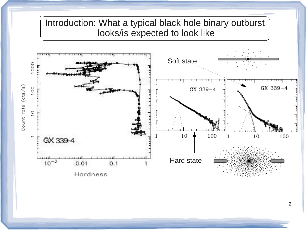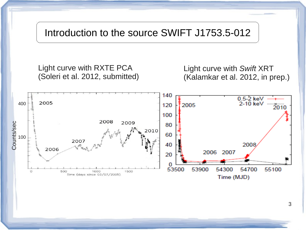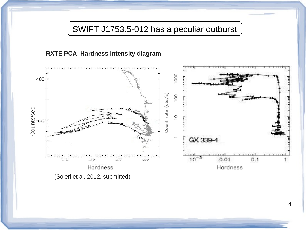SWIFT J1753.5-012 has a peculiar outburst

#### **RXTE PCA Hardness Intensity diagram**

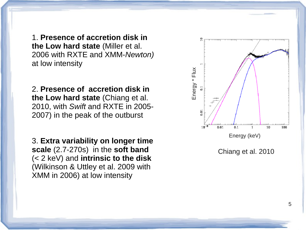1. **Presence of accretion disk in the Low hard state** (Miller et al. 2006 with RXTE and XMM-*Newton)*  at low intensity

2. **Presence of accretion disk in the Low hard state** (Chiang et al. 2010, with *Swift* and RXTE in 2005- 2007) in the peak of the outburst

3. **Extra variability on longer time scale** (2.7-270s) in the **soft band** (< 2 keV) and **intrinsic to the disk** (Wilkinson & Uttley et al. 2009 with XMM in 2006) at low intensity

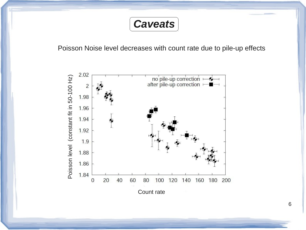

Poisson Noise level decreases with count rate due to pile-up effects

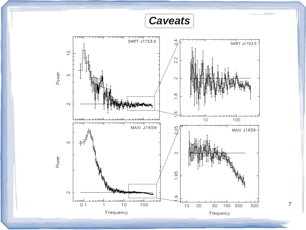*Caveats*

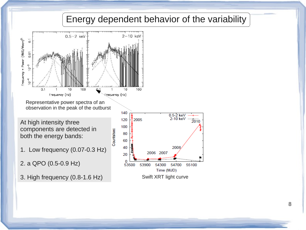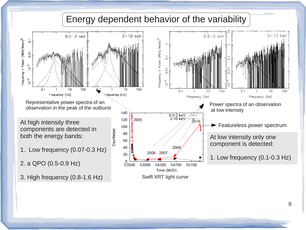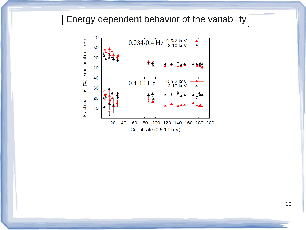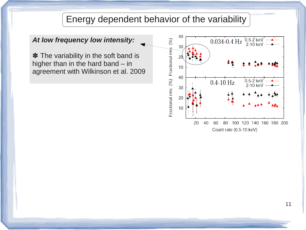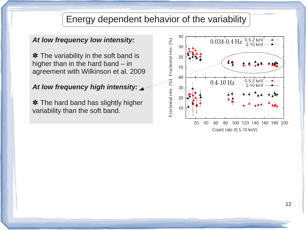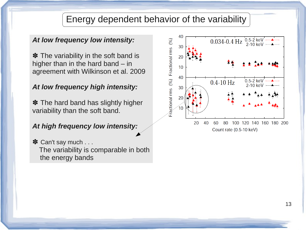#### *At low frequency low intensity:*

✽ The variability in the soft band is higher than in the hard band – in agreement with Wilkinson et al. 2009

#### *At low frequency high intensity:*

✽ The hard band has slightly higher variability than the soft band.

*At high frequency low intensity:*

**✽** Can't say much . . . The variability is comparable in both the energy bands

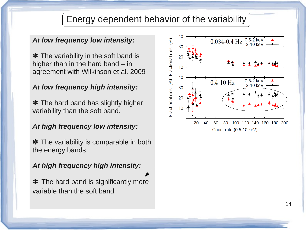#### *At low frequency low intensity:*

✽ The variability in the soft band is higher than in the hard band – in agreement with Wilkinson et al. 2009

#### *At low frequency high intensity:*

 $*$  The hard band has slightly higher variability than the soft band.

#### *At high frequency low intensity:*

**✽** The variability is comparable in both the energy bands

#### *At high frequency high intensity:*

**✽** The hard band is significantly more variable than the soft band

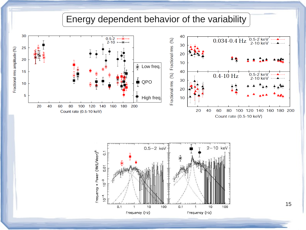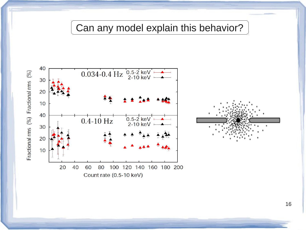# Can any model explain this behavior?

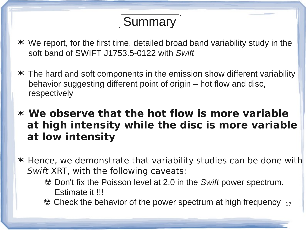# **Summary**

- ✶ We report, for the first time, detailed broad band variability study in the soft band of SWIFT J1753.5-0122 with *Swift*
- ✶ The hard and soft components in the emission show different variability behavior suggesting different point of origin – hot flow and disc, respectively

# ✶ **We observe that the hot flow is more variable at high intensity while the disc is more variable at low intensity**

- ✶ Hence, we demonstrate that variability studies can be done with Swift XRT, with the following caveats:
	- ☢ Don't fix the Poisson level at 2.0 in the *Swift* power spectrum. Estimate it !!!
- $\bullet$  Check the behavior of the power spectrum at high frequency  $_{17}$